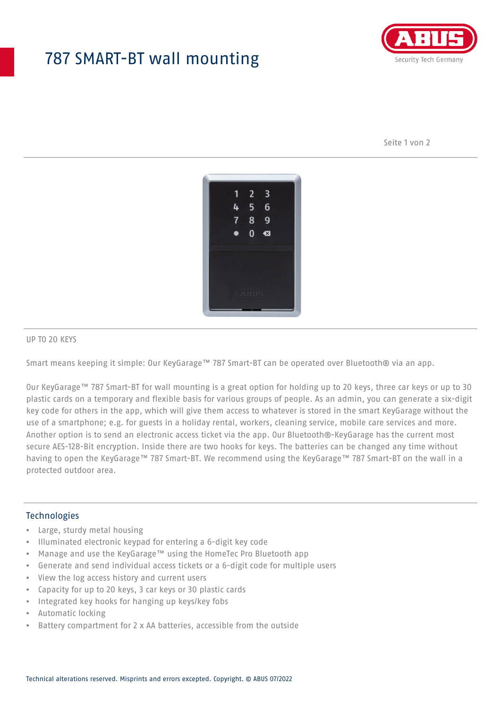## 787 SMART-BT wall mounting



Seite 1 von 2



### UP TO 20 KEYS

Smart means keeping it simple: Our KeyGarage™ 787 Smart-BT can be operated over Bluetooth® via an app.

Our KeyGarage™ 787 Smart-BT for wall mounting is a great option for holding up to 20 keys, three car keys or up to 30 plastic cards on a temporary and flexible basis for various groups of people. As an admin, you can generate a six-digit key code for others in the app, which will give them access to whatever is stored in the smart KeyGarage without the use of a smartphone; e.g. for guests in a holiday rental, workers, cleaning service, mobile care services and more. Another option is to send an electronic access ticket via the app. Our Bluetooth®-KeyGarage has the current most secure AES-128-Bit encryption. Inside there are two hooks for keys. The batteries can be changed any time without having to open the KeyGarage™ 787 Smart-BT. We recommend using the KeyGarage™ 787 Smart-BT on the wall in a protected outdoor area.

### Technologies

- Large, sturdy metal housing
- Illuminated electronic keypad for entering a 6-digit key code
- Manage and use the KeyGarage™ using the HomeTec Pro Bluetooth app
- Generate and send individual access tickets or a 6-digit code for multiple users
- View the log access history and current users
- Capacity for up to 20 keys, 3 car keys or 30 plastic cards
- Integrated key hooks for hanging up keys/key fobs
- Automatic locking
- Battery compartment for 2 x AA batteries, accessible from the outside